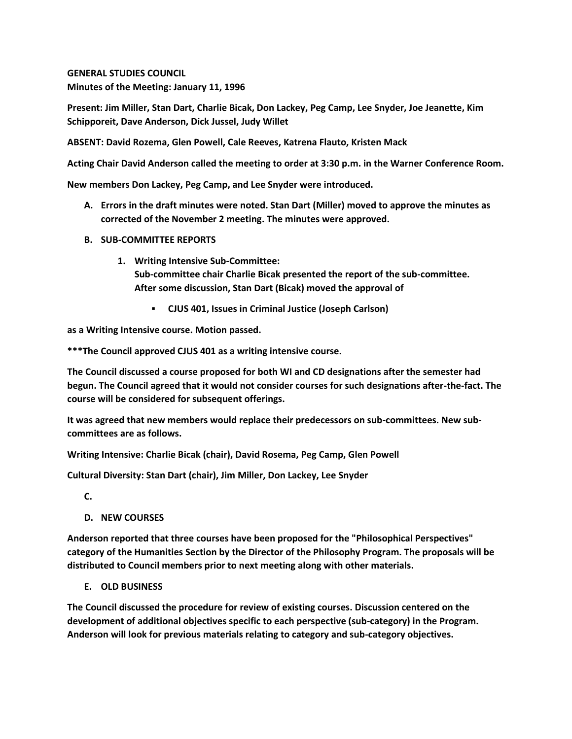**GENERAL STUDIES COUNCIL Minutes of the Meeting: January 11, 1996**

**Present: Jim Miller, Stan Dart, Charlie Bicak, Don Lackey, Peg Camp, Lee Snyder, Joe Jeanette, Kim Schipporeit, Dave Anderson, Dick Jussel, Judy Willet**

**ABSENT: David Rozema, Glen Powell, Cale Reeves, Katrena Flauto, Kristen Mack**

**Acting Chair David Anderson called the meeting to order at 3:30 p.m. in the Warner Conference Room.**

**New members Don Lackey, Peg Camp, and Lee Snyder were introduced.**

- **A. Errors in the draft minutes were noted. Stan Dart (Miller) moved to approve the minutes as corrected of the November 2 meeting. The minutes were approved.**
- **B. SUB-COMMITTEE REPORTS**
	- **1. Writing Intensive Sub-Committee: Sub-committee chair Charlie Bicak presented the report of the sub-committee. After some discussion, Stan Dart (Bicak) moved the approval of** 
		- **CJUS 401, Issues in Criminal Justice (Joseph Carlson)**

**as a Writing Intensive course. Motion passed.** 

**\*\*\*The Council approved CJUS 401 as a writing intensive course.**

**The Council discussed a course proposed for both WI and CD designations after the semester had begun. The Council agreed that it would not consider courses for such designations after-the-fact. The course will be considered for subsequent offerings.**

**It was agreed that new members would replace their predecessors on sub-committees. New subcommittees are as follows.**

**Writing Intensive: Charlie Bicak (chair), David Rosema, Peg Camp, Glen Powell**

**Cultural Diversity: Stan Dart (chair), Jim Miller, Don Lackey, Lee Snyder**

**C.**

**D. NEW COURSES**

**Anderson reported that three courses have been proposed for the "Philosophical Perspectives" category of the Humanities Section by the Director of the Philosophy Program. The proposals will be distributed to Council members prior to next meeting along with other materials.**

**E. OLD BUSINESS**

**The Council discussed the procedure for review of existing courses. Discussion centered on the development of additional objectives specific to each perspective (sub-category) in the Program. Anderson will look for previous materials relating to category and sub-category objectives.**